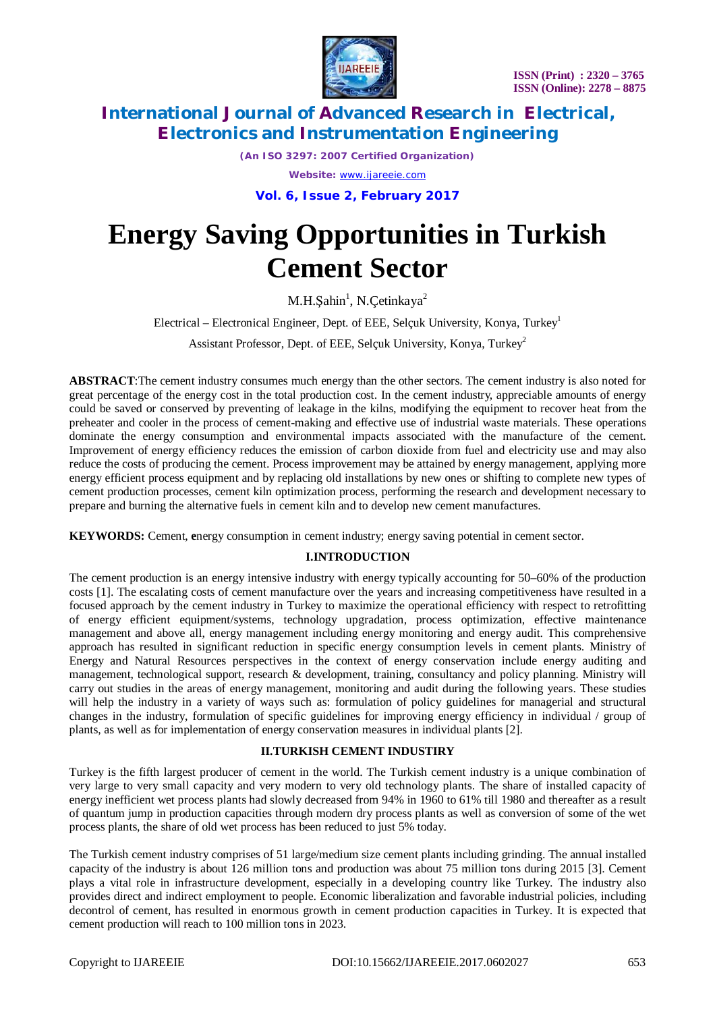

*(An ISO 3297: 2007 Certified Organization)*

*Website:* [www.ijareeie.com](http://www.ijareeie.com)

**Vol. 6, Issue 2, February 2017**

# **Energy Saving Opportunities in Turkish Cement Sector**

M.H.Şahin<sup>1</sup>, N.Çetinkaya<sup>2</sup>

Electrical – Electronical Engineer, Dept. of EEE, Selçuk University, Konya, Turkey<sup>1</sup>

Assistant Professor, Dept. of EEE, Selçuk University, Konya, Turkey<sup>2</sup>

**ABSTRACT**:The cement industry consumes much energy than the other sectors. The cement industry is also noted for great percentage of the energy cost in the total production cost. In the cement industry, appreciable amounts of energy could be saved or conserved by preventing of leakage in the kilns, modifying the equipment to recover heat from the preheater and cooler in the process of cement-making and effective use of industrial waste materials. These operations dominate the energy consumption and environmental impacts associated with the manufacture of the cement. Improvement of energy efficiency reduces the emission of carbon dioxide from fuel and electricity use and may also reduce the costs of producing the cement. Process improvement may be attained by energy management, applying more energy efficient process equipment and by replacing old installations by new ones or shifting to complete new types of cement production processes, cement kiln optimization process, performing the research and development necessary to prepare and burning the alternative fuels in cement kiln and to develop new cement manufactures.

**KEYWORDS:** Cement, **e**nergy consumption in cement industry; energy saving potential in cement sector.

## **I.INTRODUCTION**

The cement production is an energy intensive industry with energy typically accounting for 50–60% of the production costs [1]. The escalating costs of cement manufacture over the years and increasing competitiveness have resulted in a focused approach by the cement industry in Turkey to maximize the operational efficiency with respect to retrofitting of energy efficient equipment/systems, technology upgradation, process optimization, effective maintenance management and above all, energy management including energy monitoring and energy audit. This comprehensive approach has resulted in significant reduction in specific energy consumption levels in cement plants. Ministry of Energy and Natural Resources perspectives in the context of energy conservation include energy auditing and management, technological support, research & development, training, consultancy and policy planning. Ministry will carry out studies in the areas of energy management, monitoring and audit during the following years. These studies will help the industry in a variety of ways such as: formulation of policy guidelines for managerial and structural changes in the industry, formulation of specific guidelines for improving energy efficiency in individual / group of plants, as well as for implementation of energy conservation measures in individual plants [2].

#### **II.TURKISH CEMENT INDUSTIRY**

Turkey is the fifth largest producer of cement in the world. The Turkish cement industry is a unique combination of very large to very small capacity and very modern to very old technology plants. The share of installed capacity of energy inefficient wet process plants had slowly decreased from 94% in 1960 to 61% till 1980 and thereafter as a result of quantum jump in production capacities through modern dry process plants as well as conversion of some of the wet process plants, the share of old wet process has been reduced to just 5% today.

The Turkish cement industry comprises of 51 large/medium size cement plants including grinding. The annual installed capacity of the industry is about 126 million tons and production was about 75 million tons during 2015 [3]. Cement plays a vital role in infrastructure development, especially in a developing country like Turkey. The industry also provides direct and indirect employment to people. Economic liberalization and favorable industrial policies, including decontrol of cement, has resulted in enormous growth in cement production capacities in Turkey. It is expected that cement production will reach to 100 million tons in 2023.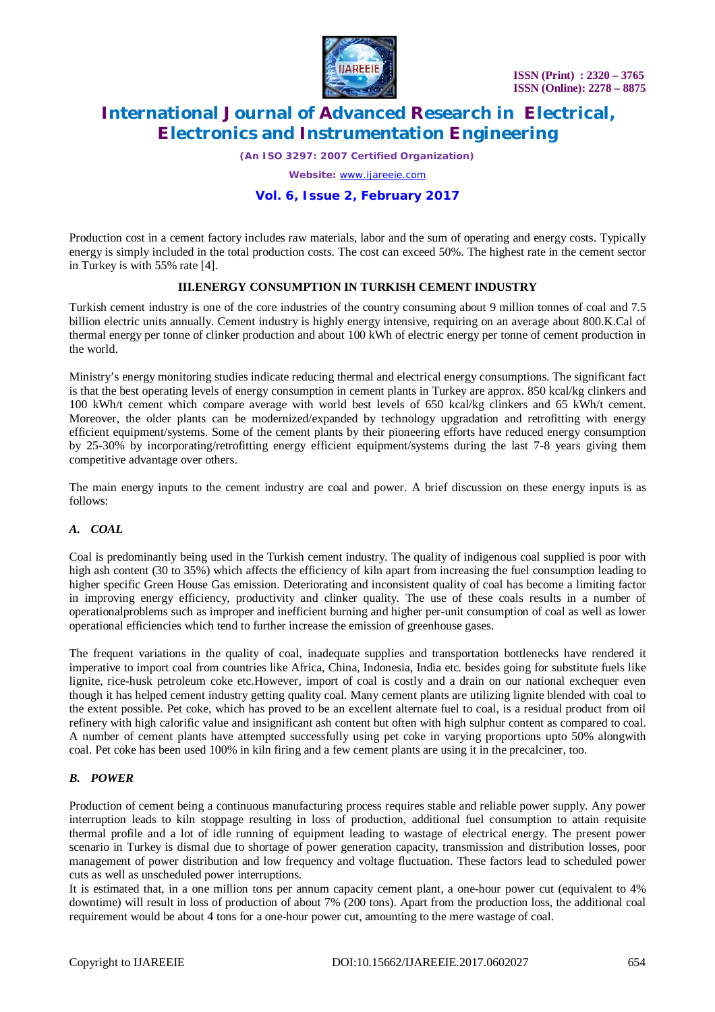

*(An ISO 3297: 2007 Certified Organization)*

*Website:* [www.ijareeie.com](http://www.ijareeie.com)

### **Vol. 6, Issue 2, February 2017**

Production cost in a cement factory includes raw materials, labor and the sum of operating and energy costs. Typically energy is simply included in the total production costs. The cost can exceed 50%. The highest rate in the cement sector in Turkey is with 55% rate [4].

### **III.ENERGY CONSUMPTION IN TURKISH CEMENT INDUSTRY**

Turkish cement industry is one of the core industries of the country consuming about 9 million tonnes of coal and 7.5 billion electric units annually. Cement industry is highly energy intensive, requiring on an average about 800.K.Cal of thermal energy per tonne of clinker production and about 100 kWh of electric energy per tonne of cement production in the world.

Ministry's energy monitoring studies indicate reducing thermal and electrical energy consumptions. The significant fact is that the best operating levels of energy consumption in cement plants in Turkey are approx. 850 kcal/kg clinkers and 100 kWh/t cement which compare average with world best levels of 650 kcal/kg clinkers and 65 kWh/t cement. Moreover, the older plants can be modernized/expanded by technology upgradation and retrofitting with energy efficient equipment/systems. Some of the cement plants by their pioneering efforts have reduced energy consumption by 25-30% by incorporating/retrofitting energy efficient equipment/systems during the last 7-8 years giving them competitive advantage over others.

The main energy inputs to the cement industry are coal and power. A brief discussion on these energy inputs is as follows:

## *A. COAL*

Coal is predominantly being used in the Turkish cement industry. The quality of indigenous coal supplied is poor with high ash content (30 to 35%) which affects the efficiency of kiln apart from increasing the fuel consumption leading to higher specific Green House Gas emission. Deteriorating and inconsistent quality of coal has become a limiting factor in improving energy efficiency, productivity and clinker quality. The use of these coals results in a number of operationalproblems such as improper and inefficient burning and higher per-unit consumption of coal as well as lower operational efficiencies which tend to further increase the emission of greenhouse gases.

The frequent variations in the quality of coal, inadequate supplies and transportation bottlenecks have rendered it imperative to import coal from countries like Africa, China, Indonesia, India etc. besides going for substitute fuels like lignite, rice-husk petroleum coke etc.However, import of coal is costly and a drain on our national exchequer even though it has helped cement industry getting quality coal. Many cement plants are utilizing lignite blended with coal to the extent possible. Pet coke, which has proved to be an excellent alternate fuel to coal, is a residual product from oil refinery with high calorific value and insignificant ash content but often with high sulphur content as compared to coal. A number of cement plants have attempted successfully using pet coke in varying proportions upto 50% alongwith coal. Pet coke has been used 100% in kiln firing and a few cement plants are using it in the precalciner, too.

## *B. POWER*

Production of cement being a continuous manufacturing process requires stable and reliable power supply. Any power interruption leads to kiln stoppage resulting in loss of production, additional fuel consumption to attain requisite thermal profile and a lot of idle running of equipment leading to wastage of electrical energy. The present power scenario in Turkey is dismal due to shortage of power generation capacity, transmission and distribution losses, poor management of power distribution and low frequency and voltage fluctuation. These factors lead to scheduled power cuts as well as unscheduled power interruptions.

It is estimated that, in a one million tons per annum capacity cement plant, a one-hour power cut (equivalent to 4% downtime) will result in loss of production of about 7% (200 tons). Apart from the production loss, the additional coal requirement would be about 4 tons for a one-hour power cut, amounting to the mere wastage of coal.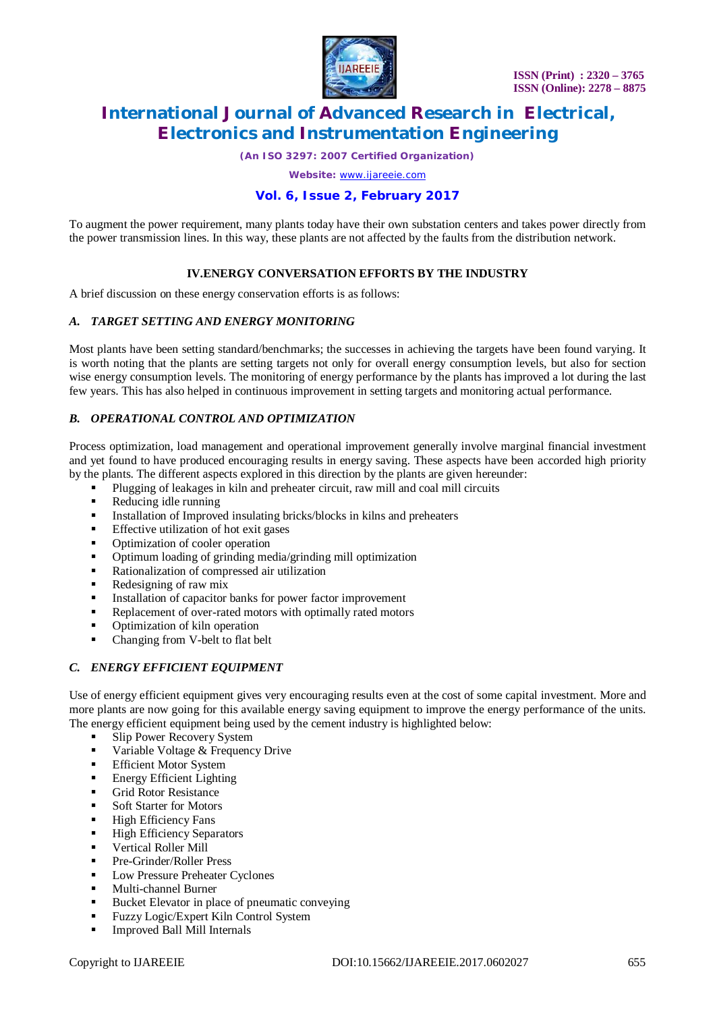

*(An ISO 3297: 2007 Certified Organization)*

*Website:* [www.ijareeie.com](http://www.ijareeie.com)

# **Vol. 6, Issue 2, February 2017**

To augment the power requirement, many plants today have their own substation centers and takes power directly from the power transmission lines. In this way, these plants are not affected by the faults from the distribution network.

## **IV.ENERGY CONVERSATION EFFORTS BY THE INDUSTRY**

A brief discussion on these energy conservation efforts is as follows:

#### *A. TARGET SETTING AND ENERGY MONITORING*

Most plants have been setting standard/benchmarks; the successes in achieving the targets have been found varying. It is worth noting that the plants are setting targets not only for overall energy consumption levels, but also for section wise energy consumption levels. The monitoring of energy performance by the plants has improved a lot during the last few years. This has also helped in continuous improvement in setting targets and monitoring actual performance.

### *B. OPERATIONAL CONTROL AND OPTIMIZATION*

Process optimization, load management and operational improvement generally involve marginal financial investment and yet found to have produced encouraging results in energy saving. These aspects have been accorded high priority by the plants. The different aspects explored in this direction by the plants are given hereunder:

- Plugging of leakages in kiln and preheater circuit, raw mill and coal mill circuits
- Reducing idle running
- **Installation of Improved insulating bricks/blocks in kilns and preheaters**
- **Effective utilization of hot exit gases**
- Optimization of cooler operation
- Optimum loading of grinding media/grinding mill optimization
- Rationalization of compressed air utilization
- Redesigning of raw mix
- Installation of capacitor banks for power factor improvement
- Replacement of over-rated motors with optimally rated motors
- Optimization of kiln operation
- Changing from V-belt to flat belt

#### *C. ENERGY EFFICIENT EQUIPMENT*

Use of energy efficient equipment gives very encouraging results even at the cost of some capital investment. More and more plants are now going for this available energy saving equipment to improve the energy performance of the units. The energy efficient equipment being used by the cement industry is highlighted below:

- Slip Power Recovery System
- Variable Voltage & Frequency Drive
- **Efficient Motor System**
- **Energy Efficient Lighting**
- **Grid Rotor Resistance**
- Soft Starter for Motors
- **High Efficiency Fans**
- **High Efficiency Separators**
- Vertical Roller Mill
- Pre-Grinder/Roller Press
- **Low Pressure Preheater Cyclones**
- Multi-channel Burner
- **Bucket Elevator in place of pneumatic conveying**
- **Fuzzy Logic/Expert Kiln Control System**
- Improved Ball Mill Internals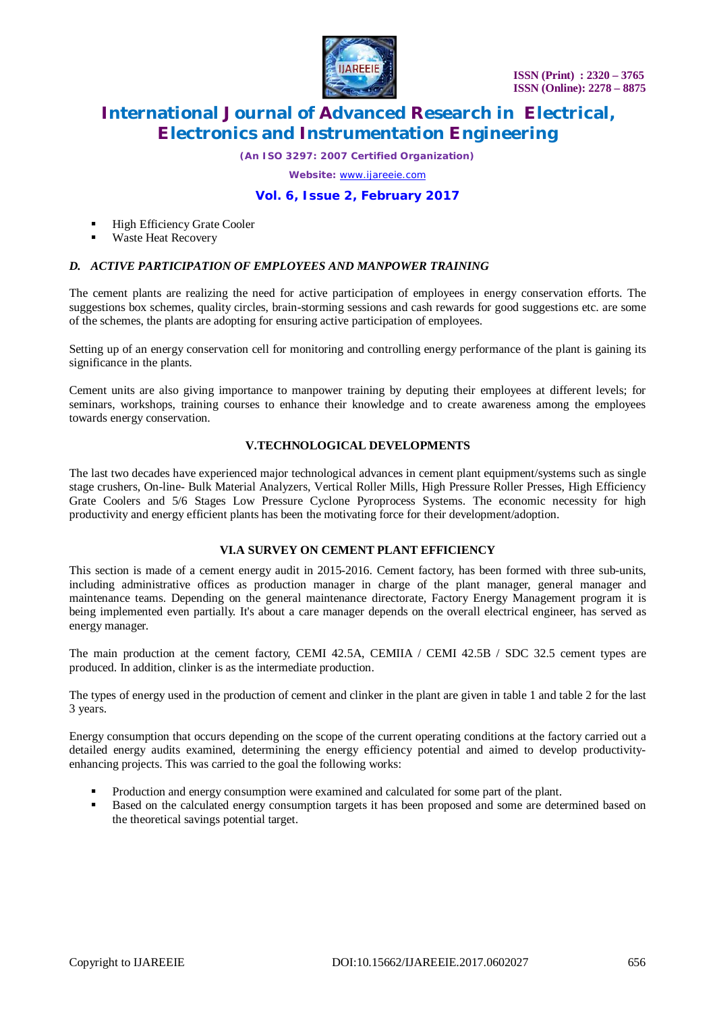

*(An ISO 3297: 2007 Certified Organization)*

*Website:* [www.ijareeie.com](http://www.ijareeie.com)

# **Vol. 6, Issue 2, February 2017**

- High Efficiency Grate Cooler
- Waste Heat Recovery

#### *D. ACTIVE PARTICIPATION OF EMPLOYEES AND MANPOWER TRAINING*

The cement plants are realizing the need for active participation of employees in energy conservation efforts. The suggestions box schemes, quality circles, brain-storming sessions and cash rewards for good suggestions etc. are some of the schemes, the plants are adopting for ensuring active participation of employees.

Setting up of an energy conservation cell for monitoring and controlling energy performance of the plant is gaining its significance in the plants.

Cement units are also giving importance to manpower training by deputing their employees at different levels; for seminars, workshops, training courses to enhance their knowledge and to create awareness among the employees towards energy conservation.

#### **V.TECHNOLOGICAL DEVELOPMENTS**

The last two decades have experienced major technological advances in cement plant equipment/systems such as single stage crushers, On-line- Bulk Material Analyzers, Vertical Roller Mills, High Pressure Roller Presses, High Efficiency Grate Coolers and 5/6 Stages Low Pressure Cyclone Pyroprocess Systems. The economic necessity for high productivity and energy efficient plants has been the motivating force for their development/adoption.

#### **VI.A SURVEY ON CEMENT PLANT EFFICIENCY**

This section is made of a cement energy audit in 2015-2016. Cement factory, has been formed with three sub-units, including administrative offices as production manager in charge of the plant manager, general manager and maintenance teams. Depending on the general maintenance directorate, Factory Energy Management program it is being implemented even partially. It's about a care manager depends on the overall electrical engineer, has served as energy manager.

The main production at the cement factory, CEMI 42.5A, CEMIIA / CEMI 42.5B / SDC 32.5 cement types are produced. In addition, clinker is as the intermediate production.

The types of energy used in the production of cement and clinker in the plant are given in table 1 and table 2 for the last 3 years.

Energy consumption that occurs depending on the scope of the current operating conditions at the factory carried out a detailed energy audits examined, determining the energy efficiency potential and aimed to develop productivityenhancing projects. This was carried to the goal the following works:

- Production and energy consumption were examined and calculated for some part of the plant.
- Based on the calculated energy consumption targets it has been proposed and some are determined based on the theoretical savings potential target.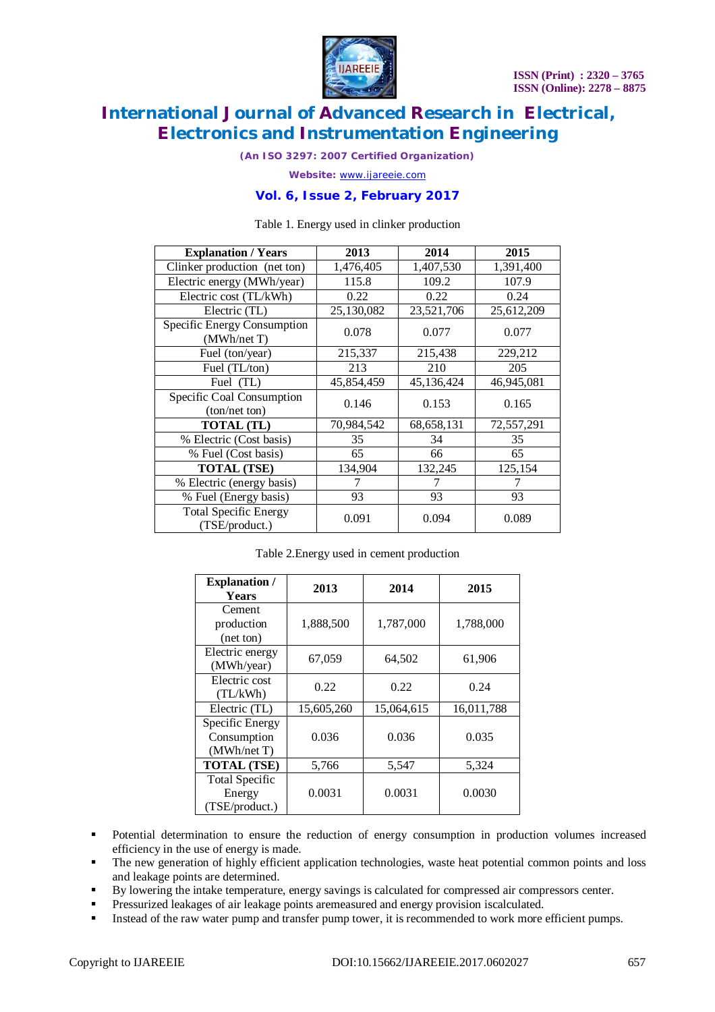

*(An ISO 3297: 2007 Certified Organization)*

*Website:* [www.ijareeie.com](http://www.ijareeie.com)

### **Vol. 6, Issue 2, February 2017**

#### Table 1. Energy used in clinker production

| <b>Explanation / Years</b>                     | 2013       | 2014         | 2015       |
|------------------------------------------------|------------|--------------|------------|
| Clinker production (net ton)                   | 1,476,405  | 1,407,530    | 1,391,400  |
| Electric energy (MWh/year)                     | 115.8      | 109.2        | 107.9      |
| Electric cost (TL/kWh)                         | 0.22       | 0.22         | 0.24       |
| Electric (TL)                                  | 25,130,082 | 23,521,706   | 25,612,209 |
| Specific Energy Consumption<br>(MWh/net T)     | 0.078      | 0.077        | 0.077      |
| Fuel (ton/year)                                | 215,337    | 215,438      | 229,212    |
| Fuel (TL/ton)                                  | 213        | 210          | 205        |
| Fuel (TL)                                      | 45,854,459 | 45,136,424   | 46,945,081 |
| Specific Coal Consumption<br>(ton/net ton)     | 0.146      | 0.153        | 0.165      |
| <b>TOTAL</b> (TL)                              | 70,984,542 | 68, 658, 131 | 72,557,291 |
| % Electric (Cost basis)                        | 35         | 34           | 35         |
| % Fuel (Cost basis)                            | 65         | 66           | 65         |
| <b>TOTAL (TSE)</b>                             | 134,904    | 132,245      | 125,154    |
| % Electric (energy basis)                      |            |              |            |
| % Fuel (Energy basis)                          | 93         | 93           | 93         |
| <b>Total Specific Energy</b><br>(TSE/product.) | 0.091      | 0.094        | 0.089      |

#### Table 2.Energy used in cement production

| <b>Explanation</b> /<br><b>Years</b>              | 2013       | 2014       | 2015       |
|---------------------------------------------------|------------|------------|------------|
| Cement<br>production<br>(net ton)                 | 1,888,500  | 1,787,000  | 1,788,000  |
| Electric energy<br>(MWh/year)                     | 67,059     | 64,502     | 61,906     |
| Electric cost<br>(TL/kWh)                         | 0.22       | 0.22       | 0.24       |
| Electric (TL)                                     | 15,605,260 | 15,064,615 | 16,011,788 |
| Specific Energy<br>Consumption<br>(MWh/net T)     | 0.036      | 0.036      | 0.035      |
| <b>TOTAL (TSE)</b>                                | 5,766      | 5,547      | 5,324      |
| <b>Total Specific</b><br>Energy<br>(TSE/product.) | 0.0031     | 0.0031     | 0.0030     |

- Potential determination to ensure the reduction of energy consumption in production volumes increased efficiency in the use of energy is made.
- The new generation of highly efficient application technologies, waste heat potential common points and loss and leakage points are determined.
- By lowering the intake temperature, energy savings is calculated for compressed air compressors center.
- Pressurized leakages of air leakage points aremeasured and energy provision iscalculated.
- Instead of the raw water pump and transfer pump tower, it is recommended to work more efficient pumps.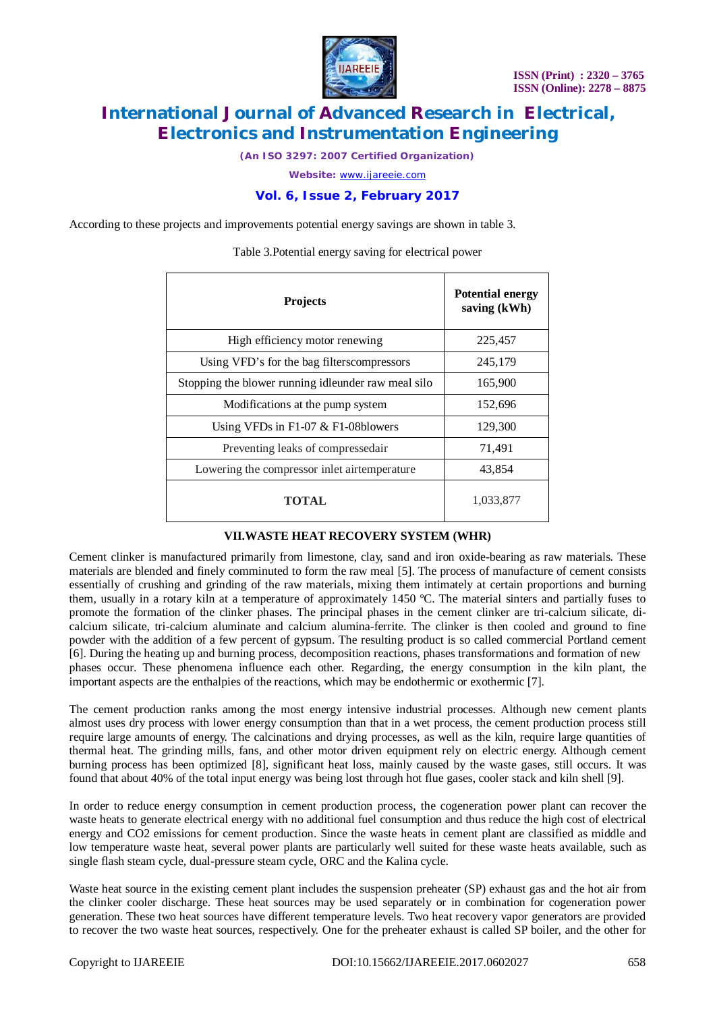

*(An ISO 3297: 2007 Certified Organization)*

*Website:* [www.ijareeie.com](http://www.ijareeie.com)

# **Vol. 6, Issue 2, February 2017**

According to these projects and improvements potential energy savings are shown in table 3.

| <b>Projects</b>                                     | <b>Potential energy</b><br>saving (kWh) |
|-----------------------------------------------------|-----------------------------------------|
| High efficiency motor renewing                      | 225,457                                 |
| Using VFD's for the bag filterscompressors          | 245,179                                 |
| Stopping the blower running idleunder raw meal silo | 165,900                                 |
| Modifications at the pump system                    | 152,696                                 |
| Using VFDs in F1-07 $&$ F1-08blowers                | 129,300                                 |
| Preventing leaks of compressedair                   | 71,491                                  |
| Lowering the compressor inlet airtemperature        | 43,854                                  |
| TOTAL                                               | 1,033,877                               |

Table 3.Potential energy saving for electrical power

## **VII.WASTE HEAT RECOVERY SYSTEM (WHR)**

Cement clinker is manufactured primarily from limestone, clay, sand and iron oxide-bearing as raw materials. These materials are blended and finely comminuted to form the raw meal [5]. The process of manufacture of cement consists essentially of crushing and grinding of the raw materials, mixing them intimately at certain proportions and burning them, usually in a rotary kiln at a temperature of approximately 1450 ºC. The material sinters and partially fuses to promote the formation of the clinker phases. The principal phases in the cement clinker are tri-calcium silicate, dicalcium silicate, tri-calcium aluminate and calcium alumina-ferrite. The clinker is then cooled and ground to fine powder with the addition of a few percent of gypsum. The resulting product is so called commercial Portland cement [6]. During the heating up and burning process, decomposition reactions, phases transformations and formation of new phases occur. These phenomena influence each other. Regarding, the energy consumption in the kiln plant, the important aspects are the enthalpies of the reactions, which may be endothermic or exothermic [7].

The cement production ranks among the most energy intensive industrial processes. Although new cement plants almost uses dry process with lower energy consumption than that in a wet process, the cement production process still require large amounts of energy. The calcinations and drying processes, as well as the kiln, require large quantities of thermal heat. The grinding mills, fans, and other motor driven equipment rely on electric energy. Although cement burning process has been optimized [8], significant heat loss, mainly caused by the waste gases, still occurs. It was found that about 40% of the total input energy was being lost through hot flue gases, cooler stack and kiln shell [9].

In order to reduce energy consumption in cement production process, the cogeneration power plant can recover the waste heats to generate electrical energy with no additional fuel consumption and thus reduce the high cost of electrical energy and CO2 emissions for cement production. Since the waste heats in cement plant are classified as middle and low temperature waste heat, several power plants are particularly well suited for these waste heats available, such as single flash steam cycle, dual-pressure steam cycle, ORC and the Kalina cycle.

Waste heat source in the existing cement plant includes the suspension preheater (SP) exhaust gas and the hot air from the clinker cooler discharge. These heat sources may be used separately or in combination for cogeneration power generation. These two heat sources have different temperature levels. Two heat recovery vapor generators are provided to recover the two waste heat sources, respectively. One for the preheater exhaust is called SP boiler, and the other for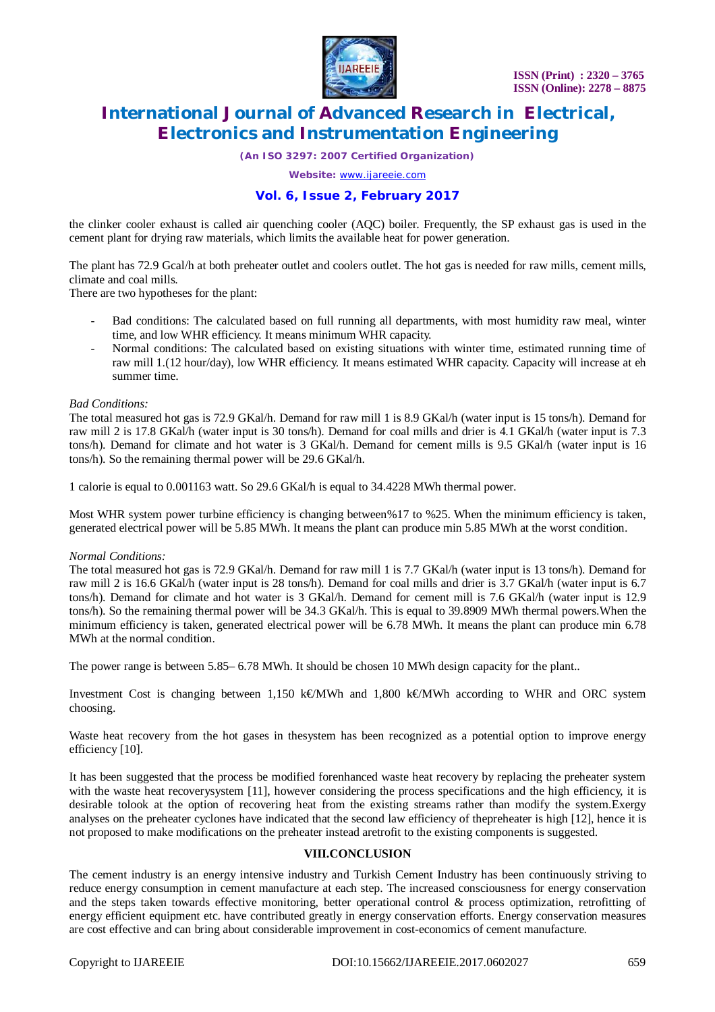

*(An ISO 3297: 2007 Certified Organization)*

*Website:* [www.ijareeie.com](http://www.ijareeie.com)

# **Vol. 6, Issue 2, February 2017**

the clinker cooler exhaust is called air quenching cooler (AQC) boiler. Frequently, the SP exhaust gas is used in the cement plant for drying raw materials, which limits the available heat for power generation.

The plant has 72.9 Gcal/h at both preheater outlet and coolers outlet. The hot gas is needed for raw mills, cement mills, climate and coal mills.

There are two hypotheses for the plant:

- Bad conditions: The calculated based on full running all departments, with most humidity raw meal, winter time, and low WHR efficiency. It means minimum WHR capacity.
- Normal conditions: The calculated based on existing situations with winter time, estimated running time of raw mill 1.(12 hour/day), low WHR efficiency. It means estimated WHR capacity. Capacity will increase at eh summer time.

#### *Bad Conditions:*

The total measured hot gas is 72.9 GKal/h. Demand for raw mill 1 is 8.9 GKal/h (water input is 15 tons/h). Demand for raw mill 2 is 17.8 GKal/h (water input is 30 tons/h). Demand for coal mills and drier is 4.1 GKal/h (water input is 7.3 tons/h). Demand for climate and hot water is 3 GKal/h. Demand for cement mills is 9.5 GKal/h (water input is 16 tons/h). So the remaining thermal power will be 29.6 GKal/h.

1 calorie is equal to 0.001163 watt. So 29.6 GKal/h is equal to 34.4228 MWh thermal power.

Most WHR system power turbine efficiency is changing between%17 to %25. When the minimum efficiency is taken, generated electrical power will be 5.85 MWh. It means the plant can produce min 5.85 MWh at the worst condition.

#### *Normal Conditions:*

The total measured hot gas is 72.9 GKal/h. Demand for raw mill 1 is 7.7 GKal/h (water input is 13 tons/h). Demand for raw mill 2 is 16.6 GKal/h (water input is 28 tons/h). Demand for coal mills and drier is 3.7 GKal/h (water input is 6.7 tons/h). Demand for climate and hot water is 3 GKal/h. Demand for cement mill is 7.6 GKal/h (water input is 12.9 tons/h). So the remaining thermal power will be 34.3 GKal/h. This is equal to 39.8909 MWh thermal powers.When the minimum efficiency is taken, generated electrical power will be 6.78 MWh. It means the plant can produce min 6.78 MWh at the normal condition.

The power range is between 5.85– 6.78 MWh. It should be chosen 10 MWh design capacity for the plant..

Investment Cost is changing between 1,150 k€/MWh and 1,800 k€/MWh according to WHR and ORC system choosing.

Waste heat recovery from the hot gases in thesystem has been recognized as a potential option to improve energy efficiency [10].

It has been suggested that the process be modified forenhanced waste heat recovery by replacing the preheater system with the waste heat recoverysystem [11], however considering the process specifications and the high efficiency, it is desirable tolook at the option of recovering heat from the existing streams rather than modify the system.Exergy analyses on the preheater cyclones have indicated that the second law efficiency of thepreheater is high [12], hence it is not proposed to make modifications on the preheater instead aretrofit to the existing components is suggested.

#### **VIII.CONCLUSION**

The cement industry is an energy intensive industry and Turkish Cement Industry has been continuously striving to reduce energy consumption in cement manufacture at each step. The increased consciousness for energy conservation and the steps taken towards effective monitoring, better operational control & process optimization, retrofitting of energy efficient equipment etc. have contributed greatly in energy conservation efforts. Energy conservation measures are cost effective and can bring about considerable improvement in cost-economics of cement manufacture.